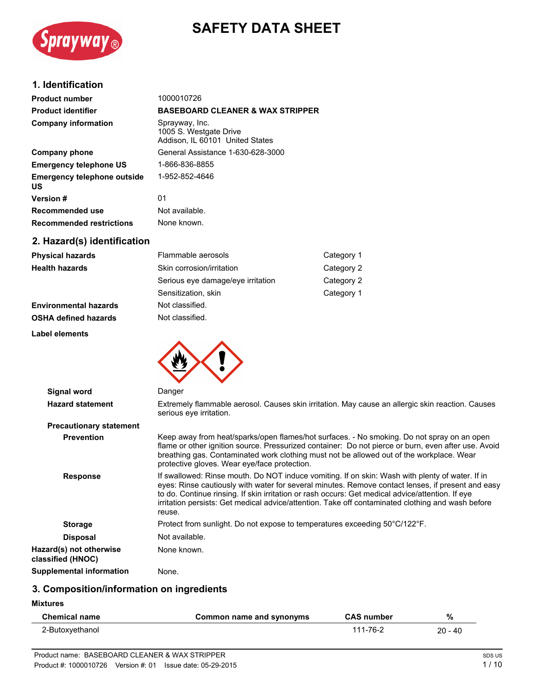# **SAFETY DATA SHEET**



## **1. Identification**

| <b>Product number</b>                    | 1000010726                                                                  |
|------------------------------------------|-----------------------------------------------------------------------------|
| <b>Product identifier</b>                | <b>BASEBOARD CLEANER &amp; WAX STRIPPER</b>                                 |
| <b>Company information</b>               | Sprayway, Inc.<br>1005 S. Westgate Drive<br>Addison, IL 60101 United States |
| Company phone                            | General Assistance 1-630-628-3000                                           |
| <b>Emergency telephone US</b>            | 1-866-836-8855                                                              |
| <b>Emergency telephone outside</b><br>US | 1-952-852-4646                                                              |
| <b>Version #</b>                         | 01                                                                          |
| Recommended use                          | Not available.                                                              |
| <b>Recommended restrictions</b>          | None known.                                                                 |
| 2. Hazard(s) identification              |                                                                             |

| <b>Physical hazards</b>      | Flammable aerosols                | Category 1 |
|------------------------------|-----------------------------------|------------|
| <b>Health hazards</b>        | Skin corrosion/irritation         | Category 2 |
|                              | Serious eye damage/eye irritation | Category 2 |
|                              | Sensitization, skin               | Category 1 |
| <b>Environmental hazards</b> | Not classified.                   |            |
| <b>OSHA defined hazards</b>  | Not classified.                   |            |
|                              |                                   |            |

**Label elements**



| Signal word                                  | Danger                                                                                                                                                                                                                                                                                                                                                                                                                  |
|----------------------------------------------|-------------------------------------------------------------------------------------------------------------------------------------------------------------------------------------------------------------------------------------------------------------------------------------------------------------------------------------------------------------------------------------------------------------------------|
| <b>Hazard statement</b>                      | Extremely flammable aerosol. Causes skin irritation. May cause an allergic skin reaction. Causes<br>serious eye irritation.                                                                                                                                                                                                                                                                                             |
| <b>Precautionary statement</b>               |                                                                                                                                                                                                                                                                                                                                                                                                                         |
| <b>Prevention</b>                            | Keep away from heat/sparks/open flames/hot surfaces. - No smoking. Do not spray on an open<br>flame or other ignition source. Pressurized container: Do not pierce or burn, even after use. Avoid<br>breathing gas. Contaminated work clothing must not be allowed out of the workplace. Wear<br>protective gloves. Wear eye/face protection.                                                                           |
| <b>Response</b>                              | If swallowed: Rinse mouth. Do NOT induce vomiting. If on skin: Wash with plenty of water. If in<br>eyes: Rinse cautiously with water for several minutes. Remove contact lenses, if present and easy<br>to do. Continue rinsing. If skin irritation or rash occurs: Get medical advice/attention. If eye<br>irritation persists: Get medical advice/attention. Take off contaminated clothing and wash before<br>reuse. |
| <b>Storage</b>                               | Protect from sunlight. Do not expose to temperatures exceeding 50°C/122°F.                                                                                                                                                                                                                                                                                                                                              |
| <b>Disposal</b>                              | Not available.                                                                                                                                                                                                                                                                                                                                                                                                          |
| Hazard(s) not otherwise<br>classified (HNOC) | None known.                                                                                                                                                                                                                                                                                                                                                                                                             |
| Supplemental information                     | None.                                                                                                                                                                                                                                                                                                                                                                                                                   |

# **3. Composition/information on ingredients**

**Mixtures**

 $\overline{a}$ 

| Chemical name   | Common name and synonyms | <b>CAS number</b> | %         |
|-----------------|--------------------------|-------------------|-----------|
| 2-Butoxyethanol |                          | 111-76-2          | $20 - 40$ |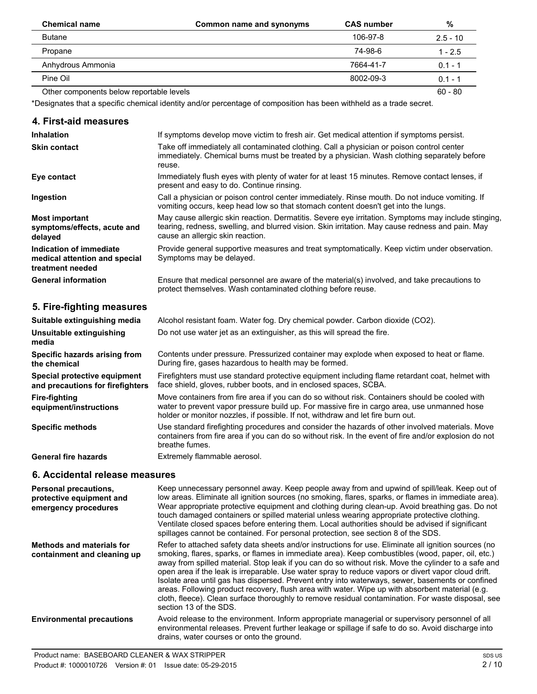| <b>Chemical name</b>                     | Common name and synonyms | <b>CAS number</b> | %          |
|------------------------------------------|--------------------------|-------------------|------------|
| <b>Butane</b>                            |                          | 106-97-8          | $2.5 - 10$ |
| Propane                                  |                          | 74-98-6           | $1 - 2.5$  |
| Anhydrous Ammonia                        |                          | 7664-41-7         | $0.1 - 1$  |
| Pine Oil                                 |                          | 8002-09-3         | $0.1 - 1$  |
| Other components below reportable levels |                          |                   | $60 - 80$  |

\*Designates that a specific chemical identity and/or percentage of composition has been withheld as a trade secret.

### **4. First-aid measures**

| <b>Inhalation</b>                                                            | If symptoms develop move victim to fresh air. Get medical attention if symptoms persist.                                                                                                                                                    |
|------------------------------------------------------------------------------|---------------------------------------------------------------------------------------------------------------------------------------------------------------------------------------------------------------------------------------------|
| <b>Skin contact</b>                                                          | Take off immediately all contaminated clothing. Call a physician or poison control center<br>immediately. Chemical burns must be treated by a physician. Wash clothing separately before<br>reuse.                                          |
| Eye contact                                                                  | Immediately flush eyes with plenty of water for at least 15 minutes. Remove contact lenses, if<br>present and easy to do. Continue rinsing.                                                                                                 |
| Ingestion                                                                    | Call a physician or poison control center immediately. Rinse mouth. Do not induce vomiting. If<br>vomiting occurs, keep head low so that stomach content doesn't get into the lungs.                                                        |
| <b>Most important</b><br>symptoms/effects, acute and<br>delayed              | May cause allergic skin reaction. Dermatitis. Severe eye irritation. Symptoms may include stinging,<br>tearing, redness, swelling, and blurred vision. Skin irritation. May cause redness and pain. May<br>cause an allergic skin reaction. |
| Indication of immediate<br>medical attention and special<br>treatment needed | Provide general supportive measures and treat symptomatically. Keep victim under observation.<br>Symptoms may be delayed.                                                                                                                   |
| <b>General information</b>                                                   | Ensure that medical personnel are aware of the material(s) involved, and take precautions to<br>protect themselves. Wash contaminated clothing before reuse.                                                                                |

# **5. Fire-fighting measures**

| Suitable extinguishing media                                     | Alcohol resistant foam. Water fog. Dry chemical powder. Carbon dioxide (CO2).                                                                                                                                                                                                    |
|------------------------------------------------------------------|----------------------------------------------------------------------------------------------------------------------------------------------------------------------------------------------------------------------------------------------------------------------------------|
| Unsuitable extinguishing<br>media                                | Do not use water jet as an extinguisher, as this will spread the fire.                                                                                                                                                                                                           |
| Specific hazards arising from<br>the chemical                    | Contents under pressure. Pressurized container may explode when exposed to heat or flame.<br>During fire, gases hazardous to health may be formed.                                                                                                                               |
| Special protective equipment<br>and precautions for firefighters | Firefighters must use standard protective equipment including flame retardant coat, helmet with<br>face shield, gloves, rubber boots, and in enclosed spaces, SCBA.                                                                                                              |
| Fire-fighting<br>equipment/instructions                          | Move containers from fire area if you can do so without risk. Containers should be cooled with<br>water to prevent vapor pressure build up. For massive fire in cargo area, use unmanned hose<br>holder or monitor nozzles, if possible. If not, withdraw and let fire burn out. |
| <b>Specific methods</b>                                          | Use standard firefighting procedures and consider the hazards of other involved materials. Move<br>containers from fire area if you can do so without risk. In the event of fire and/or explosion do not<br>breathe fumes.                                                       |
| <b>General fire hazards</b>                                      | Extremely flammable aerosol.                                                                                                                                                                                                                                                     |

# **6. Accidental release measures**

| <b>Personal precautions,</b><br>protective equipment and<br>emergency procedures | Keep unnecessary personnel away. Keep people away from and upwind of spill/leak. Keep out of<br>low areas. Eliminate all ignition sources (no smoking, flares, sparks, or flames in immediate area).<br>Wear appropriate protective equipment and clothing during clean-up. Avoid breathing gas. Do not<br>touch damaged containers or spilled material unless wearing appropriate protective clothing.<br>Ventilate closed spaces before entering them. Local authorities should be advised if significant<br>spillages cannot be contained. For personal protection, see section 8 of the SDS.                                                                                                                                                                |
|----------------------------------------------------------------------------------|-----------------------------------------------------------------------------------------------------------------------------------------------------------------------------------------------------------------------------------------------------------------------------------------------------------------------------------------------------------------------------------------------------------------------------------------------------------------------------------------------------------------------------------------------------------------------------------------------------------------------------------------------------------------------------------------------------------------------------------------------------------------|
| Methods and materials for<br>containment and cleaning up                         | Refer to attached safety data sheets and/or instructions for use. Eliminate all ignition sources (no<br>smoking, flares, sparks, or flames in immediate area). Keep combustibles (wood, paper, oil, etc.)<br>away from spilled material. Stop leak if you can do so without risk. Move the cylinder to a safe and<br>open area if the leak is irreparable. Use water spray to reduce vapors or divert vapor cloud drift.<br>Isolate area until gas has dispersed. Prevent entry into waterways, sewer, basements or confined<br>areas. Following product recovery, flush area with water. Wipe up with absorbent material (e.g.<br>cloth, fleece). Clean surface thoroughly to remove residual contamination. For waste disposal, see<br>section 13 of the SDS. |
| <b>Environmental precautions</b>                                                 | Avoid release to the environment. Inform appropriate managerial or supervisory personnel of all<br>environmental releases. Prevent further leakage or spillage if safe to do so. Avoid discharge into<br>drains, water courses or onto the ground.                                                                                                                                                                                                                                                                                                                                                                                                                                                                                                              |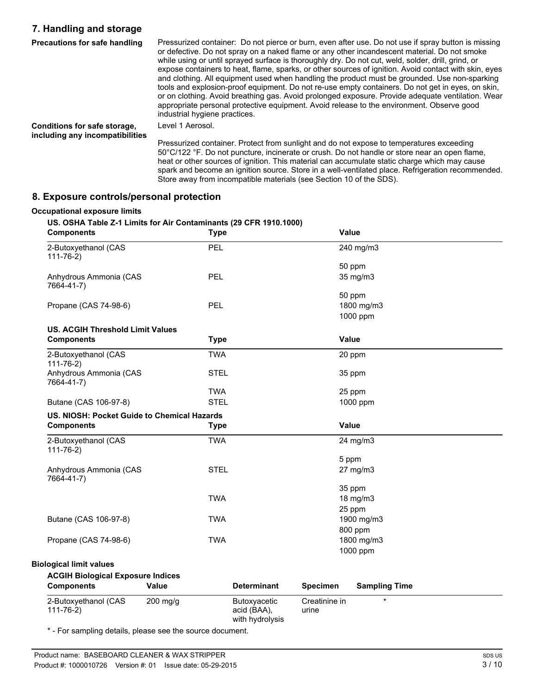# **7. Handling and storage**

| <b>Precautions for safe handling</b>                            | Pressurized container: Do not pierce or burn, even after use. Do not use if spray button is missing<br>or defective. Do not spray on a naked flame or any other incandescent material. Do not smoke<br>while using or until sprayed surface is thoroughly dry. Do not cut, weld, solder, drill, grind, or<br>expose containers to heat, flame, sparks, or other sources of ignition. Avoid contact with skin, eyes<br>and clothing. All equipment used when handling the product must be grounded. Use non-sparking<br>tools and explosion-proof equipment. Do not re-use empty containers. Do not get in eyes, on skin,<br>or on clothing. Avoid breathing gas. Avoid prolonged exposure. Provide adequate ventilation. Wear<br>appropriate personal protective equipment. Avoid release to the environment. Observe good<br>industrial hygiene practices. |
|-----------------------------------------------------------------|-------------------------------------------------------------------------------------------------------------------------------------------------------------------------------------------------------------------------------------------------------------------------------------------------------------------------------------------------------------------------------------------------------------------------------------------------------------------------------------------------------------------------------------------------------------------------------------------------------------------------------------------------------------------------------------------------------------------------------------------------------------------------------------------------------------------------------------------------------------|
| Conditions for safe storage,<br>including any incompatibilities | Level 1 Aerosol.                                                                                                                                                                                                                                                                                                                                                                                                                                                                                                                                                                                                                                                                                                                                                                                                                                            |
|                                                                 | Pressurized container. Protect from sunlight and do not expose to temperatures exceeding<br>50°C/122 °F. Do not puncture, incinerate or crush. Do not handle or store near an open flame,<br>heat or other sources of ignition. This material can accumulate static charge which may cause<br>spark and become an ignition source. Store in a well-ventilated place. Refrigeration recommended.                                                                                                                                                                                                                                                                                                                                                                                                                                                             |

Store away from incompatible materials (see Section 10 of the SDS).

# **8. Exposure controls/personal protection**

#### **Occupational exposure limits**

#### **US. OSHA Table Z-1 Limits for Air Contaminants (29 CFR 1910.1000)**

| <b>Components</b>                           | <b>Type</b>  |                                                |                        | Value                |  |
|---------------------------------------------|--------------|------------------------------------------------|------------------------|----------------------|--|
| 2-Butoxyethanol (CAS<br>$111 - 76 - 2)$     | PEL          |                                                |                        | 240 mg/m3            |  |
|                                             |              |                                                |                        | 50 ppm               |  |
| Anhydrous Ammonia (CAS<br>7664-41-7)        | PEL          |                                                |                        | 35 mg/m3             |  |
|                                             |              |                                                |                        | 50 ppm               |  |
| Propane (CAS 74-98-6)                       | PEL          |                                                |                        | 1800 mg/m3           |  |
|                                             |              |                                                |                        | 1000 ppm             |  |
| <b>US. ACGIH Threshold Limit Values</b>     |              |                                                |                        |                      |  |
| <b>Components</b>                           | <b>Type</b>  |                                                |                        | Value                |  |
| 2-Butoxyethanol (CAS<br>$111 - 76 - 2$      | <b>TWA</b>   |                                                |                        | 20 ppm               |  |
| Anhydrous Ammonia (CAS<br>7664-41-7)        | <b>STEL</b>  |                                                |                        | 35 ppm               |  |
|                                             | <b>TWA</b>   |                                                |                        | 25 ppm               |  |
| Butane (CAS 106-97-8)                       | <b>STEL</b>  |                                                |                        | 1000 ppm             |  |
| US. NIOSH: Pocket Guide to Chemical Hazards |              |                                                |                        |                      |  |
| <b>Components</b>                           | <b>Type</b>  |                                                |                        | <b>Value</b>         |  |
| 2-Butoxyethanol (CAS<br>$111 - 76 - 2$      | <b>TWA</b>   |                                                |                        | 24 mg/m3             |  |
|                                             |              |                                                |                        | 5 ppm                |  |
| Anhydrous Ammonia (CAS<br>7664-41-7)        | <b>STEL</b>  |                                                |                        | 27 mg/m3             |  |
|                                             |              |                                                |                        | 35 ppm               |  |
|                                             | <b>TWA</b>   |                                                |                        | 18 mg/m3             |  |
|                                             |              |                                                |                        | 25 ppm               |  |
| Butane (CAS 106-97-8)                       | <b>TWA</b>   |                                                |                        | 1900 mg/m3           |  |
|                                             |              |                                                |                        | 800 ppm              |  |
| Propane (CAS 74-98-6)                       | <b>TWA</b>   |                                                |                        | 1800 mg/m3           |  |
|                                             |              |                                                |                        | 1000 ppm             |  |
| <b>Biological limit values</b>              |              |                                                |                        |                      |  |
| <b>ACGIH Biological Exposure Indices</b>    |              |                                                |                        |                      |  |
| <b>Components</b>                           | <b>Value</b> | <b>Determinant</b>                             | <b>Specimen</b>        | <b>Sampling Time</b> |  |
| 2-Butoxyethanol (CAS<br>$111 - 76 - 2)$     | $200$ mg/g   | Butoxyacetic<br>acid (BAA),<br>with hydrolysis | Creatinine in<br>urine | $\star$              |  |

\* - For sampling details, please see the source document.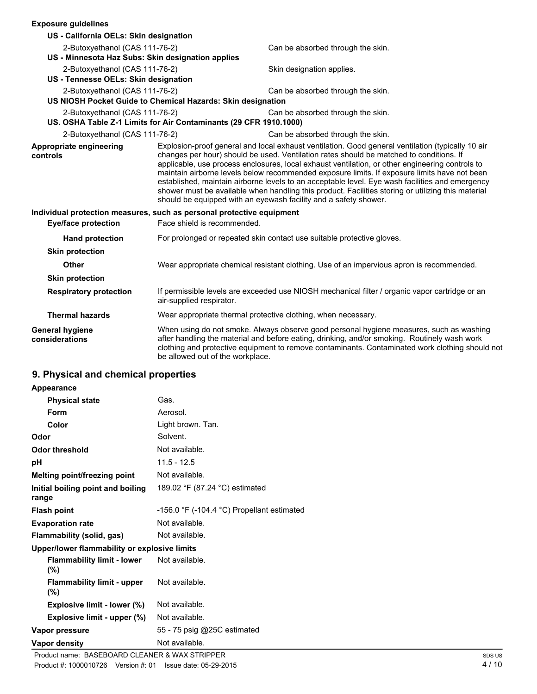| <b>Exposure quidelines</b>                                            |                                                                   |                                                                                                                                                                                                                                                                                                                                                                                                                                                                                                                                                                                                                                                                              |
|-----------------------------------------------------------------------|-------------------------------------------------------------------|------------------------------------------------------------------------------------------------------------------------------------------------------------------------------------------------------------------------------------------------------------------------------------------------------------------------------------------------------------------------------------------------------------------------------------------------------------------------------------------------------------------------------------------------------------------------------------------------------------------------------------------------------------------------------|
| US - California OELs: Skin designation                                |                                                                   |                                                                                                                                                                                                                                                                                                                                                                                                                                                                                                                                                                                                                                                                              |
| 2-Butoxyethanol (CAS 111-76-2)                                        |                                                                   | Can be absorbed through the skin.                                                                                                                                                                                                                                                                                                                                                                                                                                                                                                                                                                                                                                            |
| US - Minnesota Haz Subs: Skin designation applies                     |                                                                   |                                                                                                                                                                                                                                                                                                                                                                                                                                                                                                                                                                                                                                                                              |
| 2-Butoxyethanol (CAS 111-76-2)                                        |                                                                   | Skin designation applies.                                                                                                                                                                                                                                                                                                                                                                                                                                                                                                                                                                                                                                                    |
| US - Tennesse OELs: Skin designation                                  |                                                                   |                                                                                                                                                                                                                                                                                                                                                                                                                                                                                                                                                                                                                                                                              |
| 2-Butoxyethanol (CAS 111-76-2)                                        |                                                                   | Can be absorbed through the skin.                                                                                                                                                                                                                                                                                                                                                                                                                                                                                                                                                                                                                                            |
|                                                                       | US NIOSH Pocket Guide to Chemical Hazards: Skin designation       |                                                                                                                                                                                                                                                                                                                                                                                                                                                                                                                                                                                                                                                                              |
| 2-Butoxyethanol (CAS 111-76-2)                                        |                                                                   | Can be absorbed through the skin.                                                                                                                                                                                                                                                                                                                                                                                                                                                                                                                                                                                                                                            |
|                                                                       | US. OSHA Table Z-1 Limits for Air Contaminants (29 CFR 1910.1000) |                                                                                                                                                                                                                                                                                                                                                                                                                                                                                                                                                                                                                                                                              |
| 2-Butoxyethanol (CAS 111-76-2)                                        |                                                                   | Can be absorbed through the skin.                                                                                                                                                                                                                                                                                                                                                                                                                                                                                                                                                                                                                                            |
| Appropriate engineering<br>controls                                   |                                                                   | Explosion-proof general and local exhaust ventilation. Good general ventilation (typically 10 air<br>changes per hour) should be used. Ventilation rates should be matched to conditions. If<br>applicable, use process enclosures, local exhaust ventilation, or other engineering controls to<br>maintain airborne levels below recommended exposure limits. If exposure limits have not been<br>established, maintain airborne levels to an acceptable level. Eye wash facilities and emergency<br>shower must be available when handling this product. Facilities storing or utilizing this material<br>should be equipped with an eyewash facility and a safety shower. |
| Individual protection measures, such as personal protective equipment |                                                                   |                                                                                                                                                                                                                                                                                                                                                                                                                                                                                                                                                                                                                                                                              |
| <b>Eye/face protection</b>                                            | Face shield is recommended.                                       |                                                                                                                                                                                                                                                                                                                                                                                                                                                                                                                                                                                                                                                                              |
| <b>Hand protection</b>                                                |                                                                   | For prolonged or repeated skin contact use suitable protective gloves.                                                                                                                                                                                                                                                                                                                                                                                                                                                                                                                                                                                                       |
| <b>Skin protection</b>                                                |                                                                   |                                                                                                                                                                                                                                                                                                                                                                                                                                                                                                                                                                                                                                                                              |
| <b>Other</b>                                                          |                                                                   | Wear appropriate chemical resistant clothing. Use of an impervious apron is recommended.                                                                                                                                                                                                                                                                                                                                                                                                                                                                                                                                                                                     |
| <b>Skin protection</b>                                                |                                                                   |                                                                                                                                                                                                                                                                                                                                                                                                                                                                                                                                                                                                                                                                              |
| <b>Respiratory protection</b>                                         | air-supplied respirator.                                          | If permissible levels are exceeded use NIOSH mechanical filter / organic vapor cartridge or an                                                                                                                                                                                                                                                                                                                                                                                                                                                                                                                                                                               |
| <b>Thermal hazards</b>                                                |                                                                   | Wear appropriate thermal protective clothing, when necessary.                                                                                                                                                                                                                                                                                                                                                                                                                                                                                                                                                                                                                |
| <b>General hygiene</b><br>considerations                              | be allowed out of the workplace.                                  | When using do not smoke. Always observe good personal hygiene measures, such as washing<br>after handling the material and before eating, drinking, and/or smoking. Routinely wash work<br>clothing and protective equipment to remove contaminants. Contaminated work clothing should not                                                                                                                                                                                                                                                                                                                                                                                   |

# **9. Physical and chemical properties**

| Appearance                                   |                                                              |
|----------------------------------------------|--------------------------------------------------------------|
| <b>Physical state</b>                        | Gas.                                                         |
| Form                                         | Aerosol.                                                     |
| Color                                        | Light brown. Tan.                                            |
| Odor                                         | Solvent.                                                     |
| <b>Odor threshold</b>                        | Not available.                                               |
| рH                                           | $11.5 - 12.5$                                                |
| Melting point/freezing point                 | Not available.                                               |
| Initial boiling point and boiling<br>range   | 189.02 °F (87.24 °C) estimated                               |
| <b>Flash point</b>                           | -156.0 $\degree$ F (-104.4 $\degree$ C) Propellant estimated |
| <b>Evaporation rate</b>                      | Not available.                                               |
| Flammability (solid, gas)                    | Not available.                                               |
| Upper/lower flammability or explosive limits |                                                              |
| <b>Flammability limit - lower</b><br>(%)     | Not available.                                               |
| <b>Flammability limit - upper</b><br>(%)     | Not available.                                               |
| Explosive limit - lower (%)                  | Not available.                                               |
| Explosive limit - upper (%)                  | Not available.                                               |
| Vapor pressure                               | 55 - 75 psig @25C estimated                                  |
| Vapor density                                | Not available.                                               |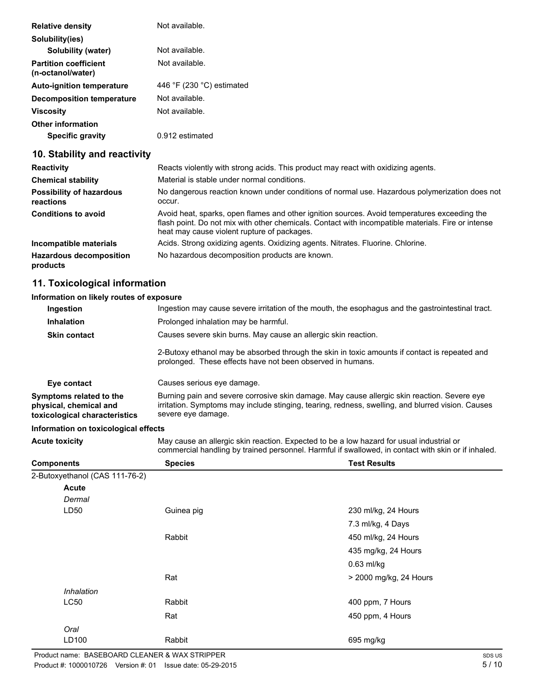| <b>Relative density</b>                           | Not available.                              |
|---------------------------------------------------|---------------------------------------------|
| Solubility(ies)                                   |                                             |
| Solubility (water)                                | Not available.                              |
| <b>Partition coefficient</b><br>(n-octanol/water) | Not available.                              |
| <b>Auto-ignition temperature</b>                  | 446 $\degree$ F (230 $\degree$ C) estimated |
| <b>Decomposition temperature</b>                  | Not available.                              |
| Viscositv                                         | Not available.                              |
| <b>Other information</b>                          |                                             |
| <b>Specific gravity</b>                           | 0.912 estimated                             |

## **10. Stability and reactivity**

| <b>Reactivity</b>                            | Reacts violently with strong acids. This product may react with oxidizing agents.                                                                                                                                                                 |
|----------------------------------------------|---------------------------------------------------------------------------------------------------------------------------------------------------------------------------------------------------------------------------------------------------|
| <b>Chemical stability</b>                    | Material is stable under normal conditions.                                                                                                                                                                                                       |
| <b>Possibility of hazardous</b><br>reactions | No dangerous reaction known under conditions of normal use. Hazardous polymerization does not<br>occur.                                                                                                                                           |
| <b>Conditions to avoid</b>                   | Avoid heat, sparks, open flames and other ignition sources. Avoid temperatures exceeding the<br>flash point. Do not mix with other chemicals. Contact with incompatible materials. Fire or intense<br>heat may cause violent rupture of packages. |
| Incompatible materials                       | Acids. Strong oxidizing agents. Oxidizing agents. Nitrates. Fluorine. Chlorine.                                                                                                                                                                   |
| <b>Hazardous decomposition</b><br>products   | No hazardous decomposition products are known.                                                                                                                                                                                                    |

## **11. Toxicological information**

#### **Information on likely routes of exposure**

| Ingestion may cause severe irritation of the mouth, the esophagus and the gastrointestinal tract.                                                                                                                      |
|------------------------------------------------------------------------------------------------------------------------------------------------------------------------------------------------------------------------|
| Prolonged inhalation may be harmful.                                                                                                                                                                                   |
| Causes severe skin burns. May cause an allergic skin reaction.                                                                                                                                                         |
| 2-Butoxy ethanol may be absorbed through the skin in toxic amounts if contact is repeated and<br>prolonged. These effects have not been observed in humans.                                                            |
| Causes serious eye damage.                                                                                                                                                                                             |
| Burning pain and severe corrosive skin damage. May cause allergic skin reaction. Severe eye<br>irritation. Symptoms may include stinging, tearing, redness, swelling, and blurred vision. Causes<br>severe eye damage. |
|                                                                                                                                                                                                                        |

#### **Information on toxicological effects**

**Acute toxicity** May cause an allergic skin reaction. Expected to be a low hazard for usual industrial or commercial handling by trained personnel. Harmful if swallowed, in contact with skin or if inhaled.

| <b>Components</b>              | <b>Species</b> | <b>Test Results</b>    |
|--------------------------------|----------------|------------------------|
| 2-Butoxyethanol (CAS 111-76-2) |                |                        |
| <b>Acute</b>                   |                |                        |
| Dermal                         |                |                        |
| LD50                           | Guinea pig     | 230 ml/kg, 24 Hours    |
|                                |                | 7.3 ml/kg, 4 Days      |
|                                | Rabbit         | 450 ml/kg, 24 Hours    |
|                                |                | 435 mg/kg, 24 Hours    |
|                                |                | $0.63$ ml/kg           |
|                                | Rat            | > 2000 mg/kg, 24 Hours |
| Inhalation                     |                |                        |
| LC50                           | Rabbit         | 400 ppm, 7 Hours       |
|                                | Rat            | 450 ppm, 4 Hours       |
| Oral                           |                |                        |
| LD100                          | Rabbit         | 695 mg/kg              |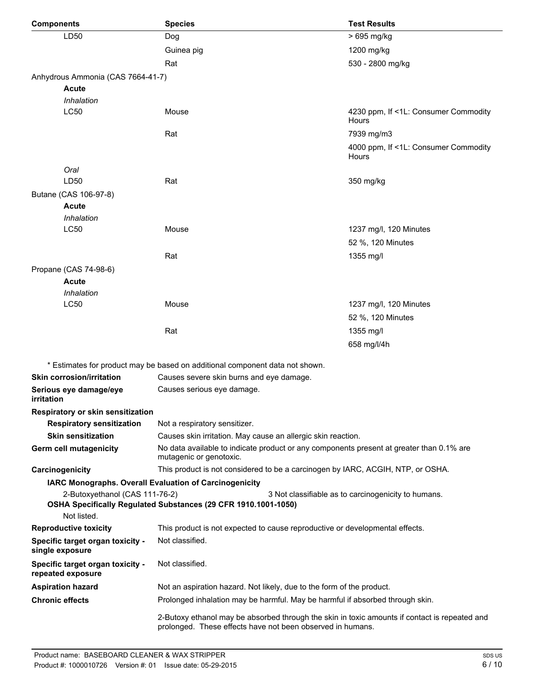| <b>Components</b>                                     | <b>Species</b>                                                                                                                                              | <b>Test Results</b>                                 |  |  |  |  |
|-------------------------------------------------------|-------------------------------------------------------------------------------------------------------------------------------------------------------------|-----------------------------------------------------|--|--|--|--|
| LD50                                                  | Dog                                                                                                                                                         | > 695 mg/kg                                         |  |  |  |  |
|                                                       | Guinea pig                                                                                                                                                  | 1200 mg/kg                                          |  |  |  |  |
|                                                       | Rat                                                                                                                                                         | 530 - 2800 mg/kg                                    |  |  |  |  |
| Anhydrous Ammonia (CAS 7664-41-7)                     |                                                                                                                                                             |                                                     |  |  |  |  |
| <b>Acute</b>                                          |                                                                                                                                                             |                                                     |  |  |  |  |
| Inhalation                                            |                                                                                                                                                             |                                                     |  |  |  |  |
| <b>LC50</b>                                           | Mouse                                                                                                                                                       | 4230 ppm, If <1L: Consumer Commodity<br>Hours       |  |  |  |  |
|                                                       | Rat                                                                                                                                                         | 7939 mg/m3                                          |  |  |  |  |
|                                                       |                                                                                                                                                             | 4000 ppm, If <1L: Consumer Commodity<br>Hours       |  |  |  |  |
| Oral                                                  |                                                                                                                                                             |                                                     |  |  |  |  |
| LD50                                                  | Rat                                                                                                                                                         | 350 mg/kg                                           |  |  |  |  |
| Butane (CAS 106-97-8)                                 |                                                                                                                                                             |                                                     |  |  |  |  |
| <b>Acute</b>                                          |                                                                                                                                                             |                                                     |  |  |  |  |
| Inhalation                                            |                                                                                                                                                             |                                                     |  |  |  |  |
| LC50                                                  | Mouse                                                                                                                                                       | 1237 mg/l, 120 Minutes                              |  |  |  |  |
|                                                       |                                                                                                                                                             | 52 %, 120 Minutes                                   |  |  |  |  |
|                                                       | Rat                                                                                                                                                         | 1355 mg/l                                           |  |  |  |  |
| Propane (CAS 74-98-6)                                 |                                                                                                                                                             |                                                     |  |  |  |  |
| <b>Acute</b>                                          |                                                                                                                                                             |                                                     |  |  |  |  |
| Inhalation<br><b>LC50</b>                             | Mouse                                                                                                                                                       |                                                     |  |  |  |  |
|                                                       |                                                                                                                                                             | 1237 mg/l, 120 Minutes                              |  |  |  |  |
|                                                       |                                                                                                                                                             | 52 %, 120 Minutes                                   |  |  |  |  |
|                                                       | Rat                                                                                                                                                         | 1355 mg/l                                           |  |  |  |  |
|                                                       |                                                                                                                                                             | 658 mg/l/4h                                         |  |  |  |  |
|                                                       | * Estimates for product may be based on additional component data not shown.                                                                                |                                                     |  |  |  |  |
| <b>Skin corrosion/irritation</b>                      | Causes severe skin burns and eye damage.                                                                                                                    |                                                     |  |  |  |  |
| Serious eye damage/eye<br>irritation                  | Causes serious eye damage.                                                                                                                                  |                                                     |  |  |  |  |
| Respiratory or skin sensitization                     |                                                                                                                                                             |                                                     |  |  |  |  |
| <b>Respiratory sensitization</b>                      | Not a respiratory sensitizer.                                                                                                                               |                                                     |  |  |  |  |
| <b>Skin sensitization</b>                             | Causes skin irritation. May cause an allergic skin reaction.                                                                                                |                                                     |  |  |  |  |
| <b>Germ cell mutagenicity</b>                         | No data available to indicate product or any components present at greater than 0.1% are<br>mutagenic or genotoxic.                                         |                                                     |  |  |  |  |
| Carcinogenicity                                       | This product is not considered to be a carcinogen by IARC, ACGIH, NTP, or OSHA.                                                                             |                                                     |  |  |  |  |
|                                                       | IARC Monographs. Overall Evaluation of Carcinogenicity                                                                                                      |                                                     |  |  |  |  |
| 2-Butoxyethanol (CAS 111-76-2)<br>Not listed.         | OSHA Specifically Regulated Substances (29 CFR 1910.1001-1050)                                                                                              | 3 Not classifiable as to carcinogenicity to humans. |  |  |  |  |
| <b>Reproductive toxicity</b>                          | This product is not expected to cause reproductive or developmental effects.                                                                                |                                                     |  |  |  |  |
| Specific target organ toxicity -<br>single exposure   | Not classified.                                                                                                                                             |                                                     |  |  |  |  |
| Specific target organ toxicity -<br>repeated exposure | Not classified.                                                                                                                                             |                                                     |  |  |  |  |
| <b>Aspiration hazard</b>                              | Not an aspiration hazard. Not likely, due to the form of the product.                                                                                       |                                                     |  |  |  |  |
| <b>Chronic effects</b>                                | Prolonged inhalation may be harmful. May be harmful if absorbed through skin.                                                                               |                                                     |  |  |  |  |
|                                                       | 2-Butoxy ethanol may be absorbed through the skin in toxic amounts if contact is repeated and<br>prolonged. These effects have not been observed in humans. |                                                     |  |  |  |  |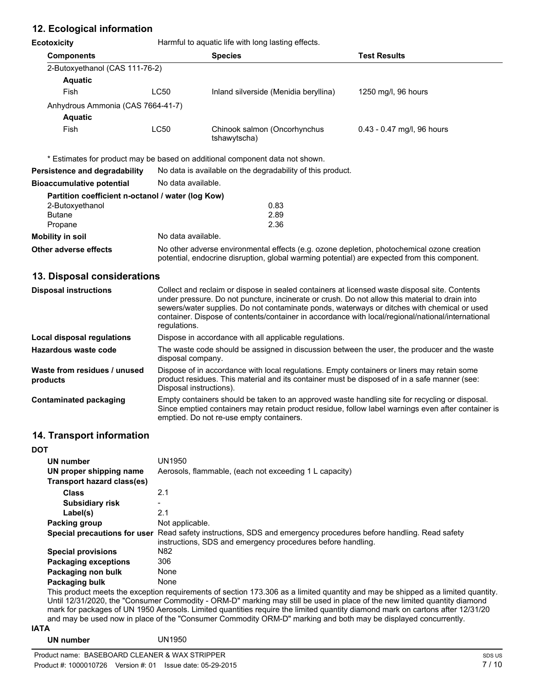# **12. Ecological information**

**Ecotoxicity Example 20** Harmful to aquatic life with long lasting effects.

|      | <b>Species</b>                                                      | Test Results                 |  |
|------|---------------------------------------------------------------------|------------------------------|--|
|      |                                                                     |                              |  |
|      |                                                                     |                              |  |
| LC50 | Inland silverside (Menidia beryllina)                               | 1250 mg/l, 96 hours          |  |
|      |                                                                     |                              |  |
|      |                                                                     |                              |  |
| LC50 | Chinook salmon (Oncorhynchus<br>tshawytscha)                        | $0.43 - 0.47$ mg/l, 96 hours |  |
|      | 2-Butoxyethanol (CAS 111-76-2)<br>Anhydrous Ammonia (CAS 7664-41-7) |                              |  |

\* Estimates for product may be based on additional component data not shown.

| Persistence and degradability                     | No data is available on the degradability of this product.                                                                                                                                 |  |  |  |
|---------------------------------------------------|--------------------------------------------------------------------------------------------------------------------------------------------------------------------------------------------|--|--|--|
| <b>Bioaccumulative potential</b>                  | No data available.                                                                                                                                                                         |  |  |  |
| Partition coefficient n-octanol / water (log Kow) |                                                                                                                                                                                            |  |  |  |
| 2-Butoxyethanol                                   | 0.83                                                                                                                                                                                       |  |  |  |
| <b>Butane</b>                                     | 2.89                                                                                                                                                                                       |  |  |  |
| Propane                                           | 2.36                                                                                                                                                                                       |  |  |  |
| Mobility in soil                                  | No data available.                                                                                                                                                                         |  |  |  |
| Other adverse effects                             | No other adverse environmental effects (e.g. ozone depletion, photochemical ozone creation<br>potential, endocrine disruption, global warming potential) are expected from this component. |  |  |  |

### **13. Disposal considerations**

| <b>Disposal instructions</b>             | Collect and reclaim or dispose in sealed containers at licensed waste disposal site. Contents<br>under pressure. Do not puncture, incinerate or crush. Do not allow this material to drain into<br>sewers/water supplies. Do not contaminate ponds, waterways or ditches with chemical or used<br>container. Dispose of contents/container in accordance with local/regional/national/international<br>regulations. |
|------------------------------------------|---------------------------------------------------------------------------------------------------------------------------------------------------------------------------------------------------------------------------------------------------------------------------------------------------------------------------------------------------------------------------------------------------------------------|
| Local disposal regulations               | Dispose in accordance with all applicable regulations.                                                                                                                                                                                                                                                                                                                                                              |
| Hazardous waste code                     | The waste code should be assigned in discussion between the user, the producer and the waste<br>disposal company.                                                                                                                                                                                                                                                                                                   |
| Waste from residues / unused<br>products | Dispose of in accordance with local regulations. Empty containers or liners may retain some<br>product residues. This material and its container must be disposed of in a safe manner (see:<br>Disposal instructions).                                                                                                                                                                                              |
| Contaminated packaging                   | Empty containers should be taken to an approved waste handling site for recycling or disposal.<br>Since emptied containers may retain product residue, follow label warnings even after container is<br>emptied. Do not re-use empty containers.                                                                                                                                                                    |

## **14. Transport information**

| <b>DOT</b> |                             |                                                                                                                                                                                 |
|------------|-----------------------------|---------------------------------------------------------------------------------------------------------------------------------------------------------------------------------|
|            | UN number                   | UN1950                                                                                                                                                                          |
|            | UN proper shipping name     | Aerosols, flammable, (each not exceeding 1 L capacity)                                                                                                                          |
|            | Transport hazard class(es)  |                                                                                                                                                                                 |
|            | <b>Class</b>                | 2.1                                                                                                                                                                             |
|            | Subsidiary risk             |                                                                                                                                                                                 |
|            | Label(s)                    | 2.1                                                                                                                                                                             |
|            | Packing group               | Not applicable.                                                                                                                                                                 |
|            |                             | Special precautions for user Read safety instructions, SDS and emergency procedures before handling. Read safety<br>instructions, SDS and emergency procedures before handling. |
|            | <b>Special provisions</b>   | N82                                                                                                                                                                             |
|            | <b>Packaging exceptions</b> | 306                                                                                                                                                                             |
|            | Packaging non bulk          | None                                                                                                                                                                            |
|            | Packaging bulk              | None                                                                                                                                                                            |
|            |                             | This product meets the exception requirements of section 173.306 as a limited quantity and may be shinned as a limited quantity                                                 |

 $\bar{z}$  exception requirements of section 173.306 as a limited quantity and may be shipped as a limited quantity. Until 12/31/2020, the "Consumer Commodity - ORM-D" marking may still be used in place of the new limited quantity diamond mark for packages of UN 1950 Aerosols. Limited quantities require the limited quantity diamond mark on cartons after 12/31/20 and may be used now in place of the "Consumer Commodity ORM-D" marking and both may be displayed concurrently.

#### **IATA**

#### **UN number** UN1950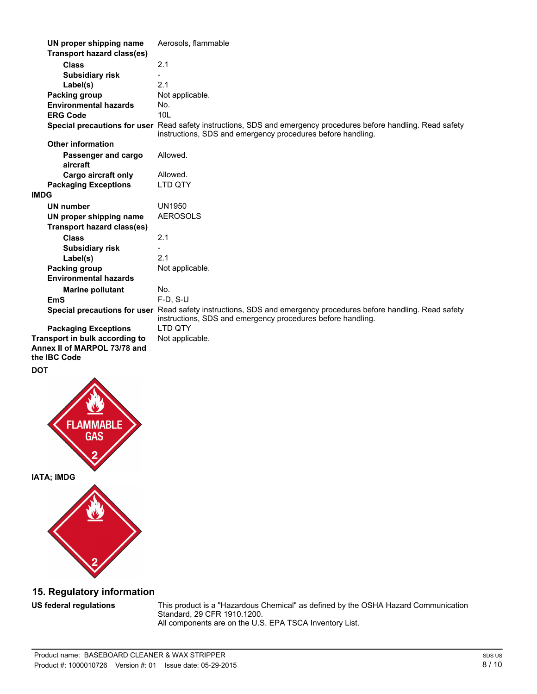| UN proper shipping name                                        | Aerosols, flammable                                                                                                                                                             |
|----------------------------------------------------------------|---------------------------------------------------------------------------------------------------------------------------------------------------------------------------------|
| <b>Transport hazard class(es)</b>                              |                                                                                                                                                                                 |
| <b>Class</b>                                                   | 2.1                                                                                                                                                                             |
| <b>Subsidiary risk</b>                                         |                                                                                                                                                                                 |
| Label(s)                                                       | 2.1                                                                                                                                                                             |
| Packing group                                                  | Not applicable.                                                                                                                                                                 |
| <b>Environmental hazards</b>                                   | No.                                                                                                                                                                             |
| <b>ERG Code</b>                                                | 10 <sub>L</sub>                                                                                                                                                                 |
|                                                                | Special precautions for user Read safety instructions, SDS and emergency procedures before handling. Read safety<br>instructions, SDS and emergency procedures before handling. |
| <b>Other information</b>                                       |                                                                                                                                                                                 |
| Passenger and cargo<br>aircraft                                | Allowed.                                                                                                                                                                        |
| <b>Cargo aircraft only</b>                                     | Allowed.                                                                                                                                                                        |
| <b>Packaging Exceptions</b>                                    | LTD QTY                                                                                                                                                                         |
| <b>IMDG</b>                                                    |                                                                                                                                                                                 |
| <b>UN number</b>                                               | <b>UN1950</b>                                                                                                                                                                   |
| UN proper shipping name                                        | <b>AEROSOLS</b>                                                                                                                                                                 |
| <b>Transport hazard class(es)</b>                              |                                                                                                                                                                                 |
| <b>Class</b>                                                   | 2.1                                                                                                                                                                             |
| <b>Subsidiary risk</b>                                         |                                                                                                                                                                                 |
| Label(s)                                                       | 2.1                                                                                                                                                                             |
| Packing group                                                  | Not applicable.                                                                                                                                                                 |
| <b>Environmental hazards</b>                                   |                                                                                                                                                                                 |
| <b>Marine pollutant</b>                                        | No.                                                                                                                                                                             |
| <b>EmS</b>                                                     | $F-D. S-U$                                                                                                                                                                      |
|                                                                | Special precautions for user Read safety instructions, SDS and emergency procedures before handling. Read safety<br>instructions, SDS and emergency procedures before handling. |
| <b>Packaging Exceptions</b>                                    | <b>LTD OTY</b>                                                                                                                                                                  |
| Transport in bulk according to<br>Annex II of MARPOL 73/78 and | Not applicable.                                                                                                                                                                 |
| the IBC Code                                                   |                                                                                                                                                                                 |

**DOT**



# **15. Regulatory information**

**US federal regulations** This product is a "Hazardous Chemical" as defined by the OSHA Hazard Communication Standard, 29 CFR 1910.1200. All components are on the U.S. EPA TSCA Inventory List.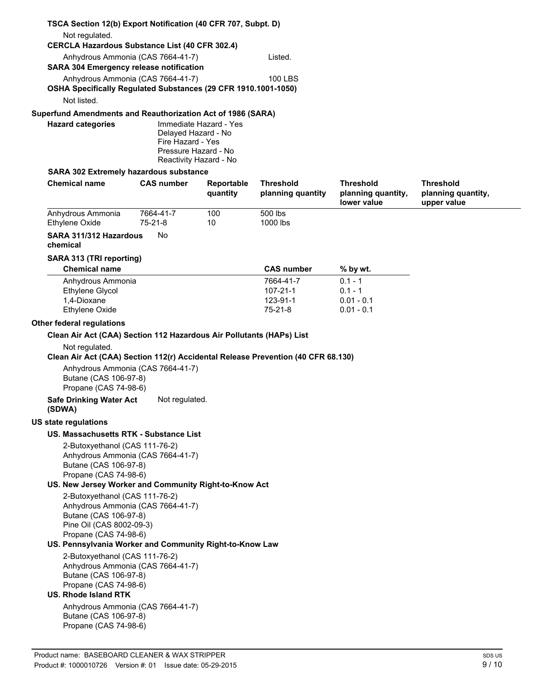## **TSCA Section 12(b) Export Notification (40 CFR 707, Subpt. D)** Not regulated. **CERCLA Hazardous Substance List (40 CFR 302.4)** Anhydrous Ammonia (CAS 7664-41-7) Listed. **SARA 304 Emergency release notification** Anhydrous Ammonia (CAS 7664-41-7) 100 LBS **OSHA Specifically Regulated Substances (29 CFR 1910.1001-1050)** Not listed. **Superfund Amendments and Reauthorization Act of 1986 (SARA) Hazard categories** Immediate Hazard - Yes

Delayed Hazard - No Fire Hazard - Yes Pressure Hazard - No Reactivity Hazard - No

#### **SARA 302 Extremely hazardous substance**

| <b>Chemical name</b>                                                                                                                                                       | <b>CAS number</b>    | Reportable<br>quantity | <b>Threshold</b><br>planning quantity        | <b>Threshold</b><br>planning quantity,<br>lower value  | <b>Threshold</b><br>planning quantity,<br>upper value |
|----------------------------------------------------------------------------------------------------------------------------------------------------------------------------|----------------------|------------------------|----------------------------------------------|--------------------------------------------------------|-------------------------------------------------------|
| Anhydrous Ammonia<br>Ethylene Oxide                                                                                                                                        | 7664-41-7<br>75-21-8 | 100<br>10              | 500 lbs<br>1000 lbs                          |                                                        |                                                       |
| SARA 311/312 Hazardous<br>chemical                                                                                                                                         | No                   |                        |                                              |                                                        |                                                       |
| SARA 313 (TRI reporting)                                                                                                                                                   |                      |                        |                                              |                                                        |                                                       |
| <b>Chemical name</b>                                                                                                                                                       |                      |                        | <b>CAS number</b>                            | $%$ by wt.                                             |                                                       |
| Anhydrous Ammonia<br>Ethylene Glycol<br>1,4-Dioxane<br>Ethylene Oxide                                                                                                      |                      |                        | 7664-41-7<br>107-21-1<br>123-91-1<br>75-21-8 | $0.1 - 1$<br>$0.1 - 1$<br>$0.01 - 0.1$<br>$0.01 - 0.1$ |                                                       |
|                                                                                                                                                                            |                      |                        |                                              |                                                        |                                                       |
| Other federal regulations                                                                                                                                                  |                      |                        |                                              |                                                        |                                                       |
| Clean Air Act (CAA) Section 112 Hazardous Air Pollutants (HAPs) List<br>Not regulated.<br>Clean Air Act (CAA) Section 112(r) Accidental Release Prevention (40 CFR 68.130) |                      |                        |                                              |                                                        |                                                       |
| Anhydrous Ammonia (CAS 7664-41-7)<br>Butane (CAS 106-97-8)<br>Propane (CAS 74-98-6)                                                                                        |                      |                        |                                              |                                                        |                                                       |
| <b>Safe Drinking Water Act</b><br>(SDWA)                                                                                                                                   | Not regulated.       |                        |                                              |                                                        |                                                       |
| <b>US state regulations</b>                                                                                                                                                |                      |                        |                                              |                                                        |                                                       |
| US. Massachusetts RTK - Substance List                                                                                                                                     |                      |                        |                                              |                                                        |                                                       |
| 2-Butoxyethanol (CAS 111-76-2)<br>Anhydrous Ammonia (CAS 7664-41-7)<br>Butane (CAS 106-97-8)<br>Propane (CAS 74-98-6)                                                      |                      |                        |                                              |                                                        |                                                       |
| US. New Jersey Worker and Community Right-to-Know Act                                                                                                                      |                      |                        |                                              |                                                        |                                                       |
| 2-Butoxyethanol (CAS 111-76-2)<br>Anhydrous Ammonia (CAS 7664-41-7)<br>Butane (CAS 106-97-8)<br>Pine Oil (CAS 8002-09-3)<br>Propane (CAS 74-98-6)                          |                      |                        |                                              |                                                        |                                                       |
| US. Pennsylvania Worker and Community Right-to-Know Law                                                                                                                    |                      |                        |                                              |                                                        |                                                       |
| 2-Butoxyethanol (CAS 111-76-2)<br>Anhydrous Ammonia (CAS 7664-41-7)<br>Butane (CAS 106-97-8)<br>Propane (CAS 74-98-6)<br>US. Rhode Island RTK                              |                      |                        |                                              |                                                        |                                                       |
| Anhydrous Ammonia (CAS 7664-41-7)<br>Butane (CAS 106-97-8)<br>Propane (CAS 74-98-6)                                                                                        |                      |                        |                                              |                                                        |                                                       |